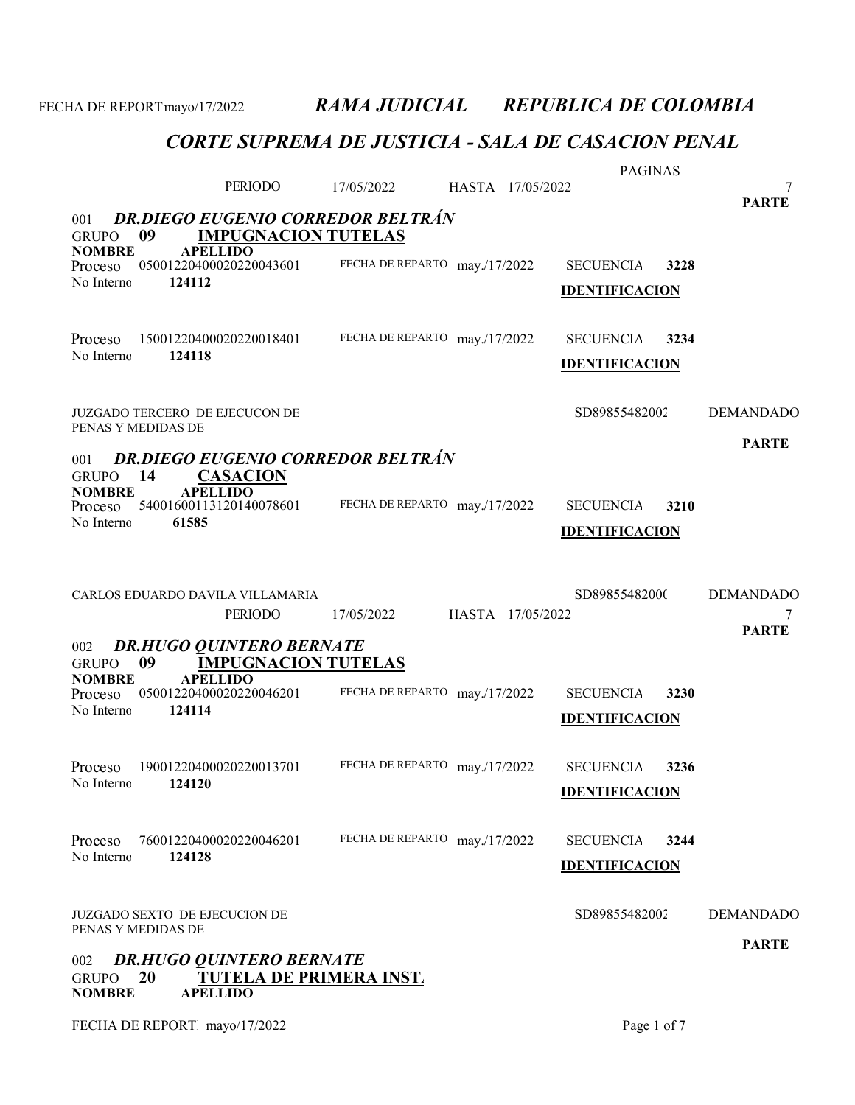|                                                      |                                                                        | 17/05/2022                    |                  | <b>PAGINAS</b>        |      |                   |
|------------------------------------------------------|------------------------------------------------------------------------|-------------------------------|------------------|-----------------------|------|-------------------|
|                                                      | PERIODO                                                                |                               | HASTA 17/05/2022 |                       |      | 7<br><b>PARTE</b> |
| 001<br>09<br><b>GRUPO</b>                            | <b>DR.DIEGO EUGENIO CORREDOR BELTRÁN</b><br><b>IMPUGNACION TUTELAS</b> |                               |                  |                       |      |                   |
| <b>NOMBRE</b><br>Proceso                             | <b>APELLIDO</b><br>05001220400020220043601                             | FECHA DE REPARTO may./17/2022 |                  | <b>SECUENCIA</b>      | 3228 |                   |
| 124112<br>No Interno                                 |                                                                        |                               |                  | <b>IDENTIFICACION</b> |      |                   |
|                                                      |                                                                        |                               |                  |                       |      |                   |
| Proceso                                              | 15001220400020220018401                                                | FECHA DE REPARTO may./17/2022 |                  | <b>SECUENCIA</b>      | 3234 |                   |
| No Interno<br>124118                                 |                                                                        |                               |                  | <b>IDENTIFICACION</b> |      |                   |
|                                                      |                                                                        |                               |                  |                       |      |                   |
| JUZGADO TERCERO DE EJECUCON DE<br>PENAS Y MEDIDAS DE |                                                                        |                               |                  | SD89855482002         |      | <b>DEMANDADO</b>  |
| 001                                                  | <b>DR.DIEGO EUGENIO CORREDOR BELTRÁN</b>                               |                               |                  |                       |      | <b>PARTE</b>      |
| 14<br><b>GRUPO</b><br><b>NOMBRE</b>                  | <b>CASACION</b><br><b>APELLIDO</b>                                     |                               |                  |                       |      |                   |
| Proceso                                              | 54001600113120140078601                                                | FECHA DE REPARTO may./17/2022 |                  | <b>SECUENCIA</b>      | 3210 |                   |
| 61585<br>No Interno                                  |                                                                        |                               |                  | <b>IDENTIFICACION</b> |      |                   |
|                                                      |                                                                        |                               |                  |                       |      |                   |
| CARLOS EDUARDO DAVILA VILLAMARIA                     |                                                                        |                               |                  | SD89855482000         |      | <b>DEMANDADO</b>  |
|                                                      | <b>PERIODO</b>                                                         | 17/05/2022                    | HASTA 17/05/2022 |                       |      | 7                 |
| 002                                                  | <b>DR.HUGO QUINTERO BERNATE</b>                                        |                               |                  |                       |      | <b>PARTE</b>      |
| 09<br><b>GRUPO</b><br><b>NOMBRE</b>                  | <b>IMPUGNACION TUTELAS</b><br><b>APELLIDO</b>                          |                               |                  |                       |      |                   |
| Proceso<br>124114<br>No Interno                      | 05001220400020220046201                                                | FECHA DE REPARTO may./17/2022 |                  | <b>SECUENCIA</b>      | 3230 |                   |
|                                                      |                                                                        |                               |                  | <b>IDENTIFICACION</b> |      |                   |
| Proceso                                              | 19001220400020220013701                                                | FECHA DE REPARTO may./17/2022 |                  | <b>SECUENCIA</b>      | 3236 |                   |
| No Interno<br>124120                                 |                                                                        |                               |                  | <b>IDENTIFICACION</b> |      |                   |
|                                                      |                                                                        |                               |                  |                       |      |                   |
| Proceso                                              | 76001220400020220046201                                                | FECHA DE REPARTO may./17/2022 |                  | <b>SECUENCIA</b>      | 3244 |                   |
| No Interno<br>124128                                 |                                                                        |                               |                  | <b>IDENTIFICACION</b> |      |                   |
|                                                      |                                                                        |                               |                  |                       |      |                   |
| JUZGADO SEXTO DE EJECUCION DE<br>PENAS Y MEDIDAS DE  |                                                                        |                               |                  | SD89855482002         |      | <b>DEMANDADO</b>  |
| 002                                                  | <b>DR.HUGO QUINTERO BERNATE</b>                                        |                               |                  |                       |      | <b>PARTE</b>      |
| 20<br><b>GRUPO</b><br><b>NOMBRE</b>                  | <b>TUTELA DE PRIMERA INST.</b><br><b>APELLIDO</b>                      |                               |                  |                       |      |                   |
| FECHA DE REPORT mayo/17/2022                         |                                                                        |                               |                  | Page 1 of 7           |      |                   |
|                                                      |                                                                        |                               |                  |                       |      |                   |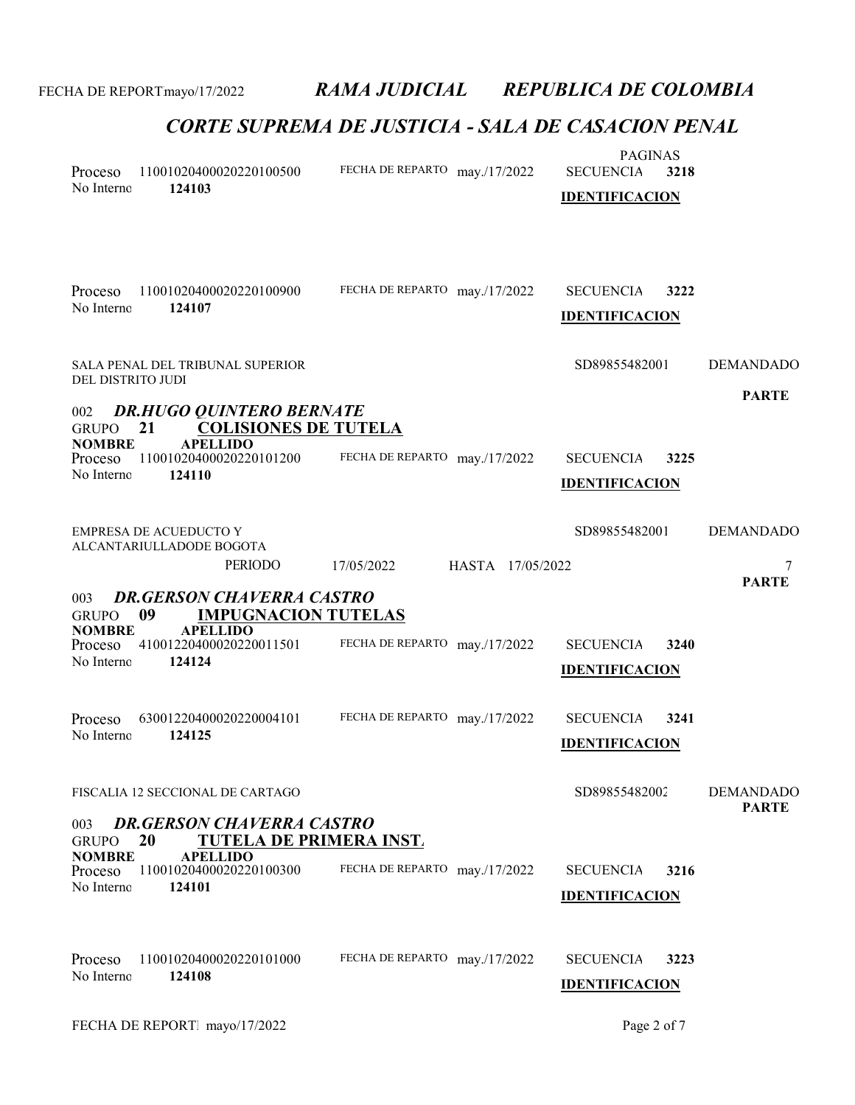| Proceso<br>No Interno                  | 11001020400020220100500<br>124103                                                       | FECHA DE REPARTO may./17/2022    | <b>PAGINAS</b><br><b>SECUENCIA</b><br>3218<br><b>IDENTIFICACION</b> |                   |
|----------------------------------------|-----------------------------------------------------------------------------------------|----------------------------------|---------------------------------------------------------------------|-------------------|
| Proceso<br>No Interno                  | 11001020400020220100900<br>124107                                                       | FECHA DE REPARTO may./17/2022    | <b>SECUENCIA</b><br>3222<br><b>IDENTIFICACION</b>                   |                   |
| DEL DISTRITO JUDI                      | SALA PENAL DEL TRIBUNAL SUPERIOR                                                        |                                  | SD89855482001                                                       | <b>DEMANDADO</b>  |
| 002<br><b>GRUPO</b><br><b>NOMBRE</b>   | <b>DR.HUGO QUINTERO BERNATE</b><br><b>COLISIONES DE TUTELA</b><br>21<br><b>APELLIDO</b> |                                  |                                                                     | <b>PARTE</b>      |
| Proceso<br>No Interno                  | 11001020400020220101200<br>124110                                                       | FECHA DE REPARTO may./17/2022    | <b>SECUENCIA</b><br>3225<br><b>IDENTIFICACION</b>                   |                   |
|                                        | <b>EMPRESA DE ACUEDUCTO Y</b><br>ALCANTARIULLADODE BOGOTA                               |                                  | SD89855482001                                                       | <b>DEMANDADO</b>  |
|                                        | PERIODO                                                                                 | HASTA 17/05/2022<br>17/05/2022   |                                                                     | 7<br><b>PARTE</b> |
| 003<br><b>GRUPO</b>                    | <b>DR.GERSON CHAVERRA CASTRO</b><br><b>IMPUGNACION TUTELAS</b><br>09                    |                                  |                                                                     |                   |
| <b>NOMBRE</b><br>Proceso<br>No Interno | <b>APELLIDO</b><br>41001220400020220011501<br>124124                                    | FECHA DE REPARTO may./17/2022    | <b>SECUENCIA</b><br>3240<br><b>IDENTIFICACION</b>                   |                   |
| Proceso<br>No Interno                  | 63001220400020220004101<br>124125                                                       | FECHA DE REPARTO may./17/2022    | <b>SECUENCIA</b><br>3241<br><b>IDENTIFICACION</b>                   |                   |
|                                        | FISCALIA 12 SECCIONAL DE CARTAGO                                                        |                                  | SD89855482002                                                       | <b>DEMANDADO</b>  |
| 003<br><b>GRUPO</b>                    | <b>DR.GERSON CHAVERRA CASTRO</b><br><b>TUTELA DE PRIMERA INST.</b><br>20                |                                  |                                                                     | <b>PARTE</b>      |
| <b>NOMBRE</b><br>Proceso<br>No Interno | <b>APELLIDO</b><br>11001020400020220100300<br>124101                                    | FECHA DE REPARTO may./17/2022    | 3216<br><b>SECUENCIA</b><br><b>IDENTIFICACION</b>                   |                   |
| Proceso<br>No Interno                  | 11001020400020220101000<br>124108                                                       | FECHA DE REPARTO<br>may./17/2022 | 3223<br><b>SECUENCIA</b>                                            |                   |
|                                        |                                                                                         |                                  | <b>IDENTIFICACION</b>                                               |                   |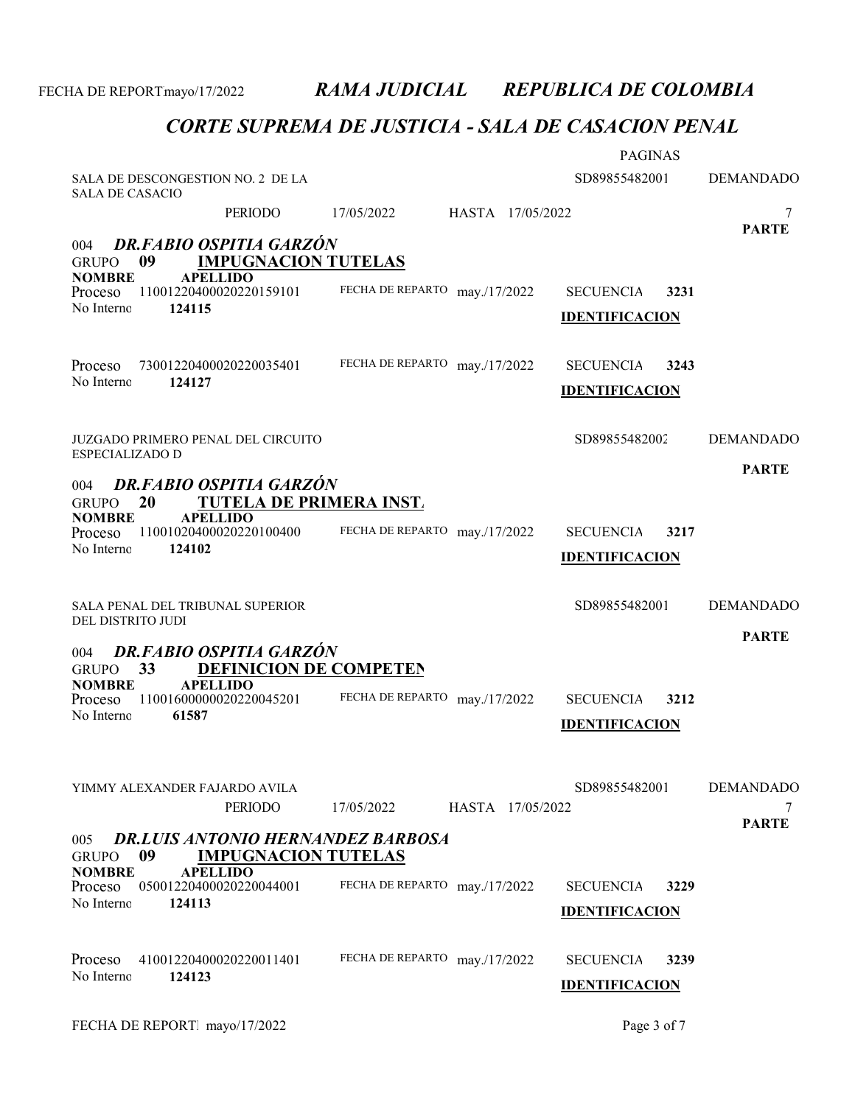|                                          |                                                                                    |                               |                  | <b>PAGINAS</b>                            |      |                       |
|------------------------------------------|------------------------------------------------------------------------------------|-------------------------------|------------------|-------------------------------------------|------|-----------------------|
| SALA DE CASACIO                          | SALA DE DESCONGESTION NO. 2 DE LA                                                  |                               |                  | SD89855482001                             |      | <b>DEMANDADO</b>      |
|                                          | <b>PERIODO</b>                                                                     | 17/05/2022                    | HASTA 17/05/2022 |                                           |      | 7                     |
| 004<br><b>GRUPO</b>                      | DR.FABIO OSPITIA GARZÓN<br>09<br><b>IMPUGNACION TUTELAS</b>                        |                               |                  |                                           |      | <b>PARTE</b>          |
| <b>NOMBRE</b><br>Proceso<br>No Interno   | <b>APELLIDO</b><br>11001220400020220159101<br>124115                               | FECHA DE REPARTO may./17/2022 |                  | <b>SECUENCIA</b><br><b>IDENTIFICACION</b> | 3231 |                       |
| Proceso                                  | 73001220400020220035401                                                            | FECHA DE REPARTO may./17/2022 |                  | <b>SECUENCIA</b>                          | 3243 |                       |
| No Interno                               | 124127                                                                             |                               |                  | <b>IDENTIFICACION</b>                     |      |                       |
| ESPECIALIZADO D                          | JUZGADO PRIMERO PENAL DEL CIRCUITO                                                 |                               |                  | SD89855482002                             |      | <b>DEMANDADO</b>      |
| 004                                      | <b>DR.FABIO OSPITIA GARZÓN</b>                                                     |                               |                  |                                           |      | <b>PARTE</b>          |
| <b>GRUPO</b><br><b>NOMBRE</b><br>Proceso | 20<br><b>TUTELA DE PRIMERA INST.</b><br><b>APELLIDO</b><br>11001020400020220100400 | FECHA DE REPARTO may./17/2022 |                  | <b>SECUENCIA</b>                          | 3217 |                       |
| No Interno                               | 124102                                                                             |                               |                  | <b>IDENTIFICACION</b>                     |      |                       |
| DEL DISTRITO JUDI                        | SALA PENAL DEL TRIBUNAL SUPERIOR                                                   |                               |                  | SD89855482001                             |      | <b>DEMANDADO</b>      |
| 004<br><b>GRUPO</b>                      | <b>DR.FABIO OSPITIA GARZÓN</b><br>DEFINICION DE COMPETEN<br>33                     |                               |                  |                                           |      | <b>PARTE</b>          |
| <b>NOMBRE</b><br>Proceso<br>No Interno   | <b>APELLIDO</b><br>11001600000020220045201<br>61587                                | FECHA DE REPARTO may./17/2022 |                  | <b>SECUENCIA</b>                          | 3212 |                       |
|                                          |                                                                                    |                               |                  | <b>IDENTIFICACION</b>                     |      |                       |
|                                          | YIMMY ALEXANDER FAJARDO AVILA<br>PERIODO                                           | 17/05/2022                    | HASTA 17/05/2022 | SD89855482001                             |      | <b>DEMANDADO</b><br>7 |
| 005<br><b>GRUPO</b>                      | <b>DR.LUIS ANTONIO HERNANDEZ BARBOSA</b><br>09                                     |                               |                  |                                           |      | <b>PARTE</b>          |
| <b>NOMBRE</b><br>Proceso<br>No Interno   | <b>IMPUGNACION TUTELAS</b><br><b>APELLIDO</b><br>05001220400020220044001<br>124113 | FECHA DE REPARTO may./17/2022 |                  | <b>SECUENCIA</b>                          | 3229 |                       |
|                                          |                                                                                    |                               |                  | <b>IDENTIFICACION</b>                     |      |                       |
| Proceso<br>No Interno                    | 41001220400020220011401<br>124123                                                  | FECHA DE REPARTO may./17/2022 |                  | <b>SECUENCIA</b><br><b>IDENTIFICACION</b> | 3239 |                       |
|                                          |                                                                                    |                               |                  |                                           |      |                       |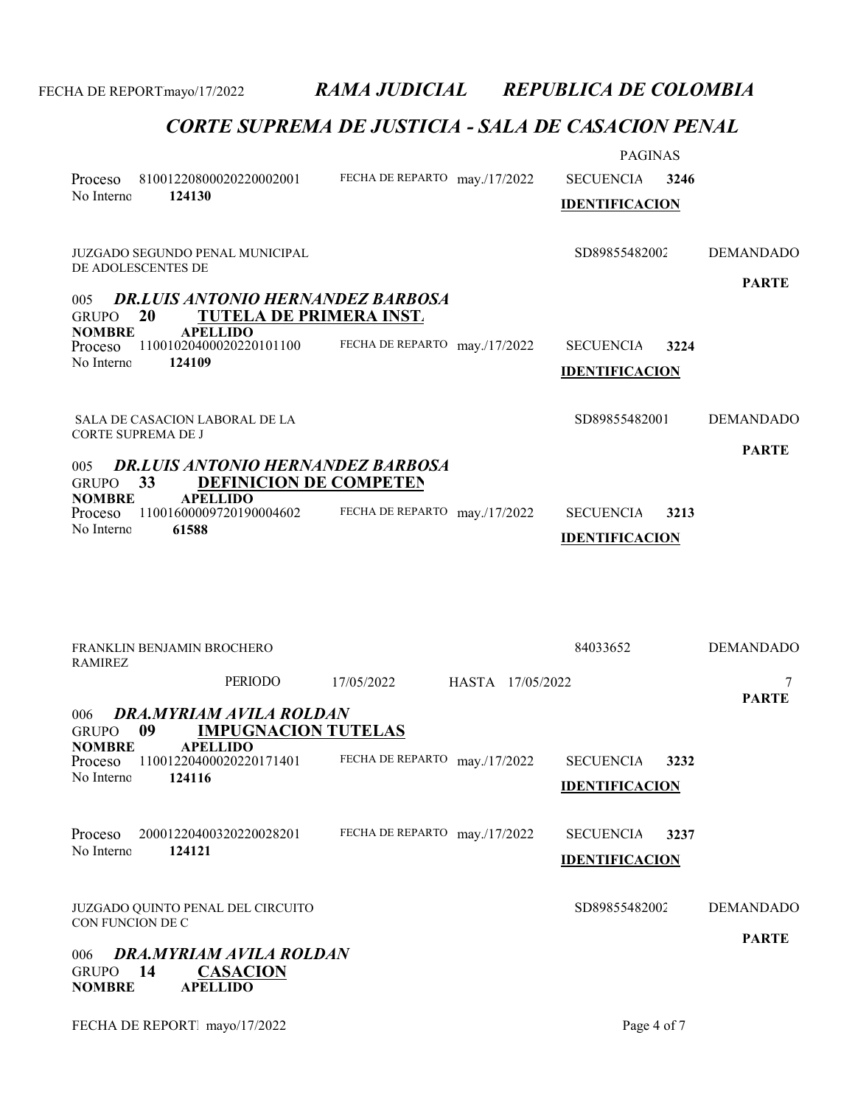| 81001220800020220002001<br>Proceso<br>No Interno<br>124130                                                                                                                           | FECHA DE REPARTO may./17/2022                                   | <b>PAGINAS</b><br><b>SECUENCIA</b><br>3246<br><b>IDENTIFICACION</b> |                                  |
|--------------------------------------------------------------------------------------------------------------------------------------------------------------------------------------|-----------------------------------------------------------------|---------------------------------------------------------------------|----------------------------------|
| JUZGADO SEGUNDO PENAL MUNICIPAL<br>DE ADOLESCENTES DE                                                                                                                                |                                                                 | SD89855482002                                                       | <b>DEMANDADO</b><br><b>PARTE</b> |
| <b>DR.LUIS ANTONIO HERNANDEZ BARBOSA</b><br>005<br><b>20</b><br>GRUPO<br><b>NOMBRE</b><br><b>APELLIDO</b><br>11001020400020220101100<br>Proceso<br>No Interno<br>124109              | <b>TUTELA DE PRIMERA INST.</b><br>FECHA DE REPARTO may./17/2022 | <b>SECUENCIA</b><br>3224<br><b>IDENTIFICACION</b>                   |                                  |
| SALA DE CASACION LABORAL DE LA<br>CORTE SUPREMA DE J                                                                                                                                 |                                                                 | SD89855482001                                                       | <b>DEMANDADO</b><br><b>PARTE</b> |
| <b>DR.LUIS ANTONIO HERNANDEZ BARBOSA</b><br>005<br>33<br>GRUPO<br><b>NOMBRE</b><br><b>APELLIDO</b><br>11001600009720190004602<br>Proceso<br>No Interno<br>61588                      | <b>DEFINICION DE COMPETEN</b><br>FECHA DE REPARTO may./17/2022  | <b>SECUENCIA</b><br>3213<br><b>IDENTIFICACION</b>                   |                                  |
| FRANKLIN BENJAMIN BROCHERO<br>RAMIREZ                                                                                                                                                |                                                                 | 84033652                                                            | <b>DEMANDADO</b>                 |
| PERIODO                                                                                                                                                                              | HASTA 17/05/2022<br>17/05/2022                                  |                                                                     | 7<br><b>PARTE</b>                |
| DRA.MYRIAM AVILA ROLDAN<br>006<br><b>IMPUGNACION TUTELAS</b><br>09<br><b>GRUPO</b><br><b>NOMBRE</b><br><b>APELLIDO</b><br>11001220400020220171401<br>Proceso<br>No Interno<br>124116 | FECHA DE REPARTO may./17/2022                                   | 3232<br><b>SECUENCIA</b><br><b>IDENTIFICACION</b>                   |                                  |
| Proceso<br>20001220400320220028201<br>No Interno<br>124121                                                                                                                           | FECHA DE REPARTO may./17/2022                                   | 3237<br><b>SECUENCIA</b><br><b>IDENTIFICACION</b>                   |                                  |
| JUZGADO QUINTO PENAL DEL CIRCUITO<br>CON FUNCION DE C<br>DRA.MYRIAM AVILA ROLDAN<br>006<br><b>GRUPO</b><br>14<br><b>CASACION</b><br><b>APELLIDO</b><br><b>NOMBRE</b>                 |                                                                 | SD89855482002                                                       | <b>DEMANDADO</b><br><b>PARTE</b> |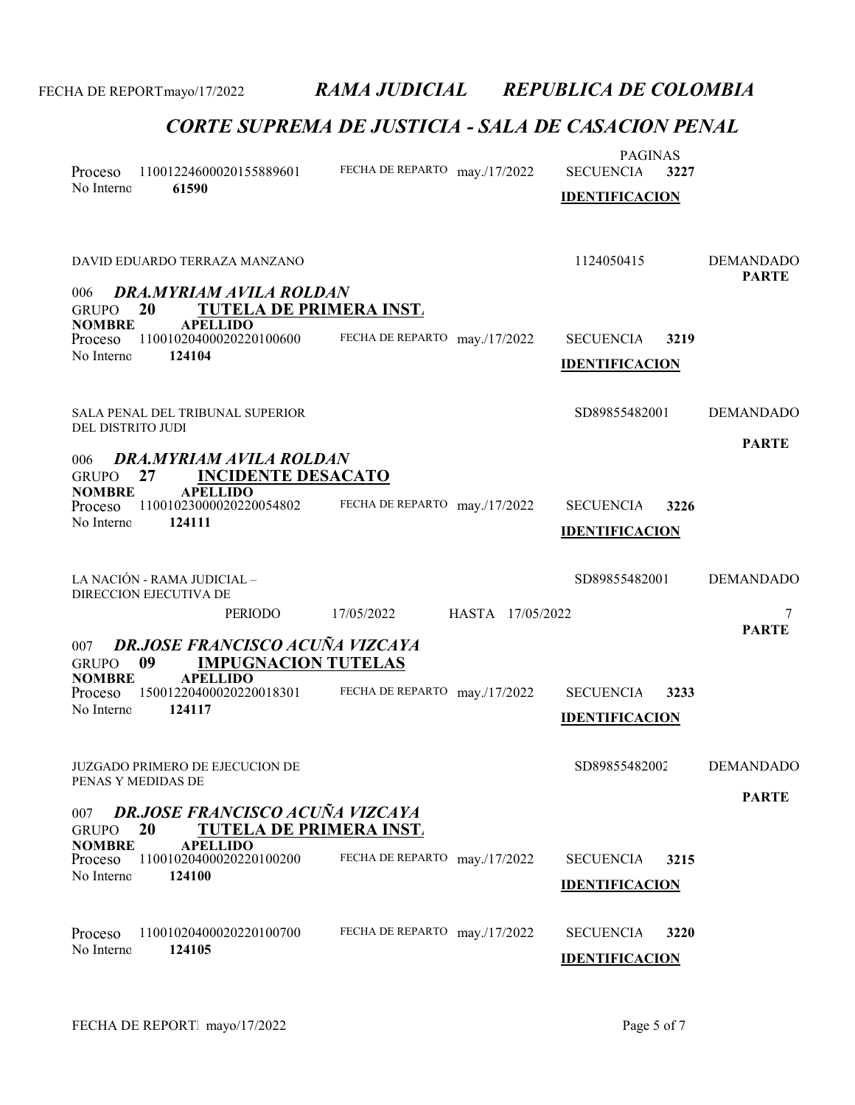| Proceso<br>No Interno                                  | 11001224600020155889601<br>61590                                                             | FECHA DE REPARTO may./17/2022  | <b>PAGINAS</b><br><b>SECUENCIA</b><br>3227<br><b>IDENTIFICACION</b> |                                  |
|--------------------------------------------------------|----------------------------------------------------------------------------------------------|--------------------------------|---------------------------------------------------------------------|----------------------------------|
| 006                                                    | DAVID EDUARDO TERRAZA MANZANO<br>DRA.MYRIAM AVILA ROLDAN                                     |                                | 1124050415                                                          | <b>DEMANDADO</b><br><b>PARTE</b> |
| <b>GRUPO</b><br><b>NOMBRE</b><br>Proceso<br>No Interno | 20<br><b>TUTELA DE PRIMERA INST.</b><br><b>APELLIDO</b><br>11001020400020220100600<br>124104 | FECHA DE REPARTO may./17/2022  | <b>SECUENCIA</b><br>3219<br><b>IDENTIFICACION</b>                   |                                  |
| DEL DISTRITO JUDI                                      | SALA PENAL DEL TRIBUNAL SUPERIOR                                                             |                                | SD89855482001                                                       | <b>DEMANDADO</b>                 |
| 006<br><b>GRUPO</b>                                    | DRA.MYRIAM AVILA ROLDAN<br>27<br><b>INCIDENTE DESACATO</b>                                   |                                |                                                                     | <b>PARTE</b>                     |
| <b>NOMBRE</b><br>Proceso<br>No Interno                 | <b>APELLIDO</b><br>11001023000020220054802<br>124111                                         | FECHA DE REPARTO may./17/2022  | <b>SECUENCIA</b><br>3226<br><b>IDENTIFICACION</b>                   |                                  |
|                                                        | LA NACIÓN - RAMA JUDICIAL -<br>DIRECCION EJECUTIVA DE                                        |                                | SD89855482001                                                       | <b>DEMANDADO</b>                 |
|                                                        | <b>PERIODO</b>                                                                               | HASTA 17/05/2022<br>17/05/2022 |                                                                     | 7<br><b>PARTE</b>                |
| 007<br><b>GRUPO</b>                                    | <b>DR.JOSE FRANCISCO ACUÑA VIZCAYA</b><br>09<br><b>IMPUGNACION TUTELAS</b>                   |                                |                                                                     |                                  |
| <b>NOMBRE</b><br>Proceso<br>No Interno                 | <b>APELLIDO</b><br>15001220400020220018301<br>124117                                         | FECHA DE REPARTO may./17/2022  | <b>SECUENCIA</b><br>3233<br><b>IDENTIFICACION</b>                   |                                  |
|                                                        | <b>JUZGADO PRIMERO DE EJECUCION DE</b><br>PENAS Y MEDIDAS DE                                 |                                | SD89855482002                                                       | <b>DEMANDADO</b>                 |
| 007<br><b>GRUPO</b>                                    | <b>DR.JOSE FRANCISCO ACUÑA VIZCAYA</b><br>20<br><b>TUTELA DE PRIMERA INST.</b>               |                                |                                                                     | <b>PARTE</b>                     |
| <b>NOMBRE</b><br>Proceso<br>No Interno                 | <b>APELLIDO</b><br>11001020400020220100200<br>124100                                         | FECHA DE REPARTO may./17/2022  | <b>SECUENCIA</b><br>3215<br><b>IDENTIFICACION</b>                   |                                  |
| Proceso<br>No Interno                                  | 11001020400020220100700<br>124105                                                            | FECHA DE REPARTO may./17/2022  | <b>SECUENCIA</b><br>3220<br><b>IDENTIFICACION</b>                   |                                  |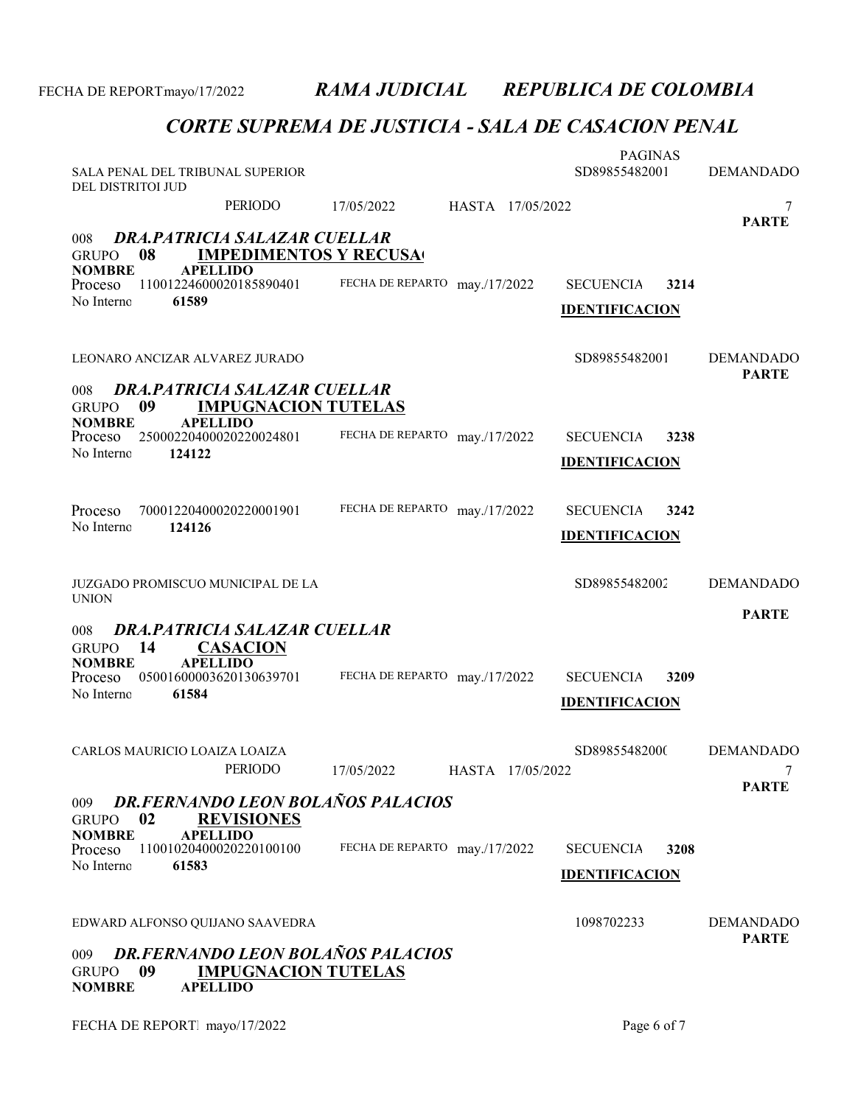| DEL DISTRITOI JUD                          | SALA PENAL DEL TRIBUNAL SUPERIOR                                                   |                               |                  | <b>PAGINAS</b><br>SD89855482001 |      | <b>DEMANDADO</b>                 |
|--------------------------------------------|------------------------------------------------------------------------------------|-------------------------------|------------------|---------------------------------|------|----------------------------------|
|                                            | PERIODO                                                                            | 17/05/2022                    | HASTA 17/05/2022 |                                 |      | 7                                |
| 008<br>08<br><b>GRUPO</b><br><b>NOMBRE</b> | DRA, PATRICIA SALAZAR CUELLAR<br><b>IMPEDIMENTOS Y RECUSA</b><br><b>APELLIDO</b>   |                               |                  |                                 |      | <b>PARTE</b>                     |
| Proceso<br>No Interno                      | 11001224600020185890401<br>61589                                                   | FECHA DE REPARTO may./17/2022 |                  | <b>SECUENCIA</b>                | 3214 |                                  |
|                                            |                                                                                    |                               |                  | <b>IDENTIFICACION</b>           |      |                                  |
|                                            | LEONARO ANCIZAR ALVAREZ JURADO                                                     |                               |                  | SD89855482001                   |      | <b>DEMANDADO</b><br><b>PARTE</b> |
| 008<br>09<br><b>GRUPO</b>                  | DRA.PATRICIA SALAZAR CUELLAR<br><b>IMPUGNACION TUTELAS</b>                         |                               |                  |                                 |      |                                  |
| <b>NOMBRE</b><br>Proceso                   | <b>APELLIDO</b><br>25000220400020220024801                                         | FECHA DE REPARTO may./17/2022 |                  | <b>SECUENCIA</b>                | 3238 |                                  |
| No Interno                                 | 124122                                                                             |                               |                  | <b>IDENTIFICACION</b>           |      |                                  |
|                                            |                                                                                    |                               |                  |                                 |      |                                  |
| Proceso<br>No Interno                      | 70001220400020220001901<br>124126                                                  | FECHA DE REPARTO may./17/2022 |                  | <b>SECUENCIA</b>                | 3242 |                                  |
|                                            |                                                                                    |                               |                  | <b>IDENTIFICACION</b>           |      |                                  |
| <b>UNION</b>                               | JUZGADO PROMISCUO MUNICIPAL DE LA                                                  |                               |                  | SD89855482002                   |      | <b>DEMANDADO</b>                 |
| 008                                        | DRA.PATRICIA SALAZAR CUELLAR                                                       |                               |                  |                                 |      | <b>PARTE</b>                     |
| 14<br><b>GRUPO</b><br><b>NOMBRE</b>        | <b>CASACION</b><br><b>APELLIDO</b>                                                 |                               |                  |                                 |      |                                  |
| Proceso<br>No Interno                      | 05001600003620130639701                                                            | FECHA DE REPARTO may./17/2022 |                  | <b>SECUENCIA</b>                | 3209 |                                  |
|                                            | 61584                                                                              |                               |                  | <b>IDENTIFICACION</b>           |      |                                  |
|                                            | CARLOS MAURICIO LOAIZA LOAIZA                                                      |                               |                  | SD89855482000                   |      | <b>DEMANDADO</b>                 |
|                                            | PERIODO                                                                            | 17/05/2022                    | HASTA 17/05/2022 |                                 |      |                                  |
| 009<br>02<br><b>GRUPO</b>                  | DR.FERNANDO LEON BOLAÑOS PALACIOS<br><b>REVISIONES</b>                             |                               |                  |                                 |      | <b>PARTE</b>                     |
| <b>NOMBRE</b><br>Proceso                   | <b>APELLIDO</b><br>11001020400020220100100                                         | FECHA DE REPARTO may./17/2022 |                  | <b>SECUENCIA</b>                | 3208 |                                  |
| No Interno                                 | 61583                                                                              |                               |                  | <b>IDENTIFICACION</b>           |      |                                  |
|                                            | EDWARD ALFONSO QUIJANO SAAVEDRA                                                    |                               |                  | 1098702233                      |      | <b>DEMANDADO</b><br><b>PARTE</b> |
| 009<br>09<br><b>GRUPO</b><br><b>NOMBRE</b> | DR.FERNANDO LEON BOLAÑOS PALACIOS<br><b>IMPUGNACION TUTELAS</b><br><b>APELLIDO</b> |                               |                  |                                 |      |                                  |
|                                            |                                                                                    |                               |                  |                                 |      |                                  |